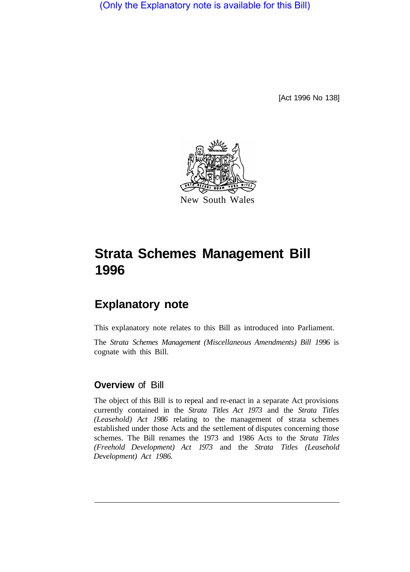(Only the Explanatory note is available for this Bill)

[Act 1996 No 138]



# **Strata Schemes Management Bill 1996**

# **Explanatory note**

This explanatory note relates to this Bill as introduced into Parliament.

The *Strata Schemes Management (Miscellaneous Amendments) Bill 1996* is cognate with this Bill.

### **Overview** of Bill

The object of this Bill is to repeal and re-enact in a separate Act provisions currently contained in the *Strata Titles Act 1973* and the *Strata Titles (Leasehold) Act 1986* relating to the management of strata schemes established under those Acts and the settlement of disputes concerning those schemes. The Bill renames the 1973 and 1986 Acts to the *Strata Titles (Freehold Development) Act 1973* and the *Strata Titles (Leasehold Development) Act 1986.*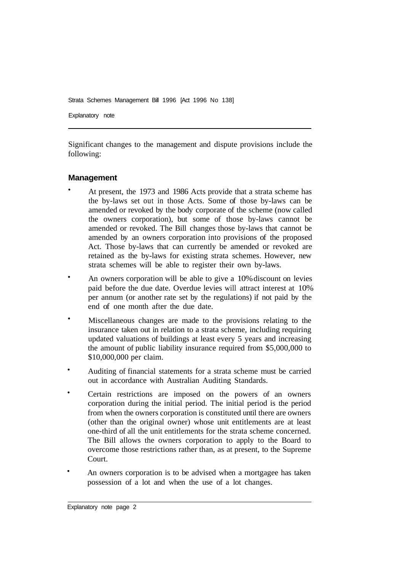Explanatory note

Significant changes to the management and dispute provisions include the following:

### **Management**

- At present, the 1973 and 1986 Acts provide that a strata scheme has the by-laws set out in those Acts. Some of those by-laws can be amended or revoked by the body corporate of the scheme (now called the owners corporation), but some of those by-laws cannot be amended or revoked. The Bill changes those by-laws that cannot be amended by an owners corporation into provisions of the proposed Act. Those by-laws that can currently be amended or revoked are retained as the by-laws for existing strata schemes. However, new strata schemes will be able to register their own by-laws.
- An owners corporation will be able to give a 10% discount on levies paid before the due date. Overdue levies will attract interest at 10% per annum (or another rate set by the regulations) if not paid by the end of one month after the due date.
- Miscellaneous changes are made to the provisions relating to the insurance taken out in relation to a strata scheme, including requiring updated valuations of buildings at least every 5 years and increasing the amount of public liability insurance required from \$5,000,000 to \$10,000,000 per claim.
- Auditing of financial statements for a strata scheme must be carried out in accordance with Australian Auditing Standards.
- Certain restrictions are imposed on the powers of an owners corporation during the initial period. The initial period is the period from when the owners corporation is constituted until there are owners (other than the original owner) whose unit entitlements are at least one-third of all the unit entitlements for the strata scheme concerned. The Bill allows the owners corporation to apply to the Board to overcome those restrictions rather than, as at present, to the Supreme Court.
- An owners corporation is to be advised when a mortgagee has taken possession of a lot and when the use of a lot changes.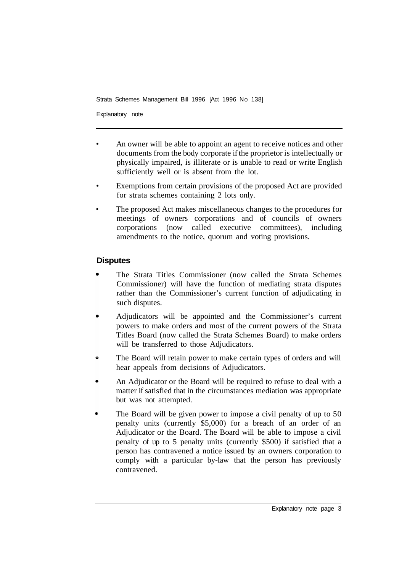Explanatory note

- An owner will be able to appoint an agent to receive notices and other documents from the body corporate if the proprietor is intellectually or physically impaired, is illiterate or is unable to read or write English sufficiently well or is absent from the lot.
- Exemptions from certain provisions of the proposed Act are provided for strata schemes containing 2 lots only.
- The proposed Act makes miscellaneous changes to the procedures for meetings of owners corporations and of councils of owners corporations (now called executive committees), including amendments to the notice, quorum and voting provisions.

### **Disputes**

- The Strata Titles Commissioner (now called the Strata Schemes Commissioner) will have the function of mediating strata disputes rather than the Commissioner's current function of adjudicating in such disputes.
- Adjudicators will be appointed and the Commissioner's current powers to make orders and most of the current powers of the Strata Titles Board (now called the Strata Schemes Board) to make orders will be transferred to those Adjudicators.
- The Board will retain power to make certain types of orders and will hear appeals from decisions of Adjudicators.
- An Adjudicator or the Board will be required to refuse to deal with a matter if satisfied that in the circumstances mediation was appropriate but was not attempted.
- The Board will be given power to impose a civil penalty of up to 50 penalty units (currently \$5,000) for a breach of an order of an Adjudicator or the Board. The Board will be able to impose a civil penalty of up to 5 penalty units (currently \$500) if satisfied that a person has contravened a notice issued by an owners corporation to comply with a particular by-law that the person has previously contravened.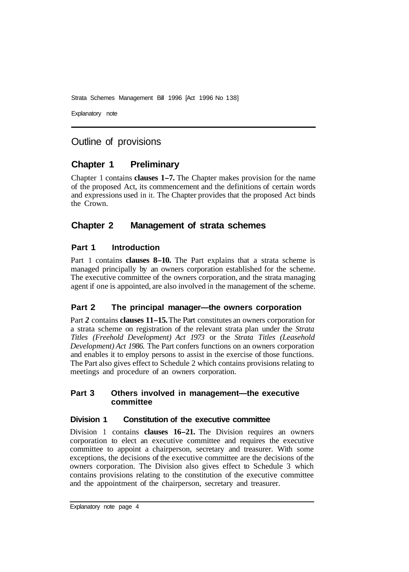Explanatory note

# Outline of provisions

### **Chapter 1 Preliminary**

Chapter 1 contains **clauses 1-7.** The Chapter makes provision for the name of the proposed Act, its commencement and the definitions of certain words and expressions used in it. The Chapter provides that the proposed Act binds the Crown.

### **Chapter 2 Management of strata schemes**

### **Part 1 Introduction**

Part 1 contains **clauses 8-10.** The Part explains that a strata scheme is managed principally by an owners corporation established for the scheme. The executive committee of the owners corporation, and the strata managing agent if one is appointed, are also involved in the management of the scheme.

### **Part 2 The principal manager—the owners corporation**

Part *2* contains **clauses 11-15.** The Part constitutes an owners corporation for a strata scheme on registration of the relevant strata plan under the *Strata Titles (Freehold Development) Act 1973* or the *Strata Titles (Leasehold Development) Act 1986.* The Part confers functions on an owners corporation and enables it to employ persons to assist in the exercise of those functions. The Part also gives effect to Schedule 2 which contains provisions relating to meetings and procedure of an owners corporation.

### **Part 3 Others involved in management—the executive committee**

### **Division 1 Constitution of the executive committee**

Division 1 contains **clauses 16-21.** The Division requires an owners corporation to elect an executive committee and requires the executive committee to appoint a chairperson, secretary and treasurer. With some exceptions, the decisions of the executive committee are the decisions of the owners corporation. The Division also gives effect to Schedule 3 which contains provisions relating to the constitution of the executive committee and the appointment of the chairperson, secretary and treasurer.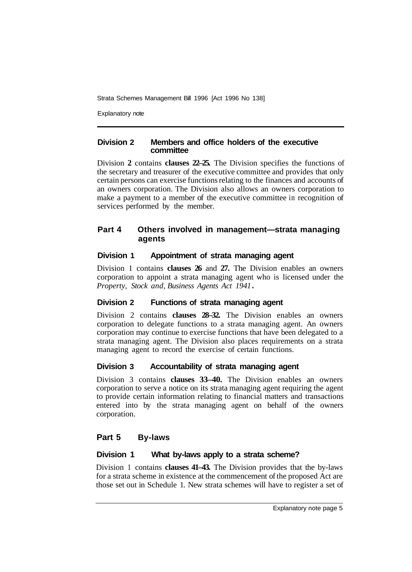Explanatory note

#### **Division 2 Members and office holders of the executive committee**

Division **2** contains **clauses 22–25.** The Division specifies the functions of the secretary and treasurer of the executive committee and provides that only certain persons can exercise functions relating to the finances and accounts of an owners corporation. The Division also allows an owners corporation to make a payment to a member of the executive committee in recognition of services performed by the member.

### **Part 4 Others involved in management—strata managing agents**

### **Division 1 Appointment of strata managing agent**

Division **1** contains **clauses 26** and **27.** The Division enables an owners corporation to appoint a strata managing agent who is licensed under the *Property, Stock and, Business Agents Act 1941* 

### **Division 2 Functions of strata managing agent**

Division 2 contains **clauses 28–32.** The Division enables an owners corporation to delegate functions to a strata managing agent. An owners corporation may continue to exercise functions that have been delegated to a strata managing agent. The Division also places requirements on a strata managing agent to record the exercise of certain functions.

### **Division 3 Accountability of strata managing agent**

Division 3 contains **clauses 33–40.** The Division enables an owners corporation to serve a notice on its strata managing agent requiring the agent to provide certain information relating to financial matters and transactions entered into by the strata managing agent on behalf of the owners corporation.

### **Part 5 By-laws**

### **Division 1 What by-laws apply to a strata scheme?**

Division 1 contains **clauses 41–43.** The Division provides that the by-laws for a strata scheme in existence at the commencement of the proposed Act are those set out in Schedule 1. New strata schemes will have to register a set of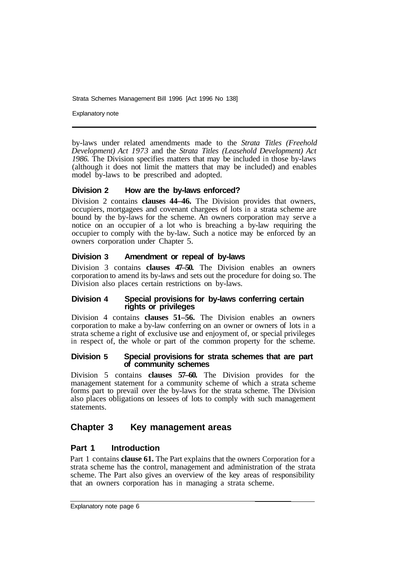Explanatory note

by-laws under related amendments made to the *Strata Titles (Freehold Development) Act 1973* and the *Strata Titles (Leasehold Development) Act 1986.* The Division specifies matters that may be included in those by-laws (although it does not limit the matters that may be included) and enables model by-laws to be prescribed and adopted.

### **Division 2 How are the by-laws enforced?**

Division 2 contains **clauses 44–46.** The Division provides that owners, occupiers, mortgagees and covenant chargees of lots in a strata scheme are bound by the by-laws for the scheme. An owners corporation may serve a notice on an occupier of a lot who is breaching a by-law requiring the occupier to comply with the by-law. Such a notice may be enforced by an owners corporation under Chapter 5.

### **Division 3 Amendment or repeal of by-laws**

Division 3 contains **clauses 47–50.** The Division enables an owners corporation to amend its by-laws and sets out the procedure for doing so. The Division also places certain restrictions on by-laws.

#### **Division 4 Special provisions for by-laws conferring certain rights or privileges**

Division 4 contains **clauses 51–56.** The Division enables an owners corporation to make a by-law conferring on an owner or owners of lots in a strata scheme a right of exclusive use and enjoyment of, or special privileges in respect of, the whole or part of the common property for the scheme.

#### **Division 5 Special provisions for strata schemes that are part of community schemes**

Division 5 contains **clauses 57–60.** The Division provides for the management statement for a community scheme of which a strata scheme forms part to prevail over the by-laws for the strata scheme. The Division also places obligations on lessees of lots to comply with such management statements.

### **Chapter 3 Key management areas**

### **Part 1 Introduction**

Part 1 contains **clause 61.** The Part explains that the owners Corporation for a strata scheme has the control, management and administration of the strata scheme. The Part also gives an overview of the key areas of responsibility that an owners corporation has in managing a strata scheme.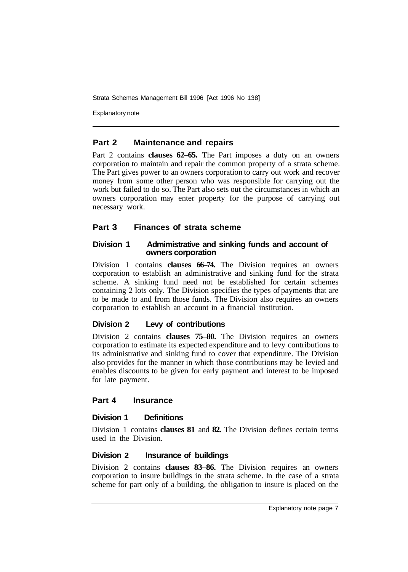Explanatory note

### **Part 2 Maintenance and repairs**

Part 2 contains **clauses 62–65.** The Part imposes a duty on an owners corporation to maintain and repair the common property of a strata scheme. The Part gives power to an owners corporation to carry out work and recover money from some other person who was responsible for carrying out the work but failed to do so. The Part also sets out the circumstances in which an owners corporation may enter property for the purpose of carrying out necessary work.

### **Part 3 Finances of strata scheme**

#### **Division 1 Admimistrative and sinking funds and account of owners corporation**

Division 1 contains **clauses 66–74.** The Division requires an owners corporation to establish an administrative and sinking fund for the strata scheme. A sinking fund need not be established for certain schemes containing 2 lots only. The Division specifies the types of payments that are to be made to and from those funds. The Division also requires an owners corporation to establish an account in a financial institution.

### **Division 2 Levy of contributions**

Division 2 contains **clauses 75–80.** The Division requires an owners corporation to estimate its expected expenditure and to levy contributions to its administrative and sinking fund to cover that expenditure. The Division also provides for the manner in which those contributions may be levied and enables discounts to be given for early payment and interest to be imposed for late payment.

### **Part 4 Insurance**

### **Division 1 Definitions**

Division 1 contains **clauses 81** and **82.** The Division defines certain terms used in the Division.

### **Division 2 Insurance of buildings**

Division 2 contains **clauses 83–86.** The Division requires an owners corporation to insure buildings in the strata scheme. In the case of a strata scheme for part only of a building, the obligation to insure is placed on the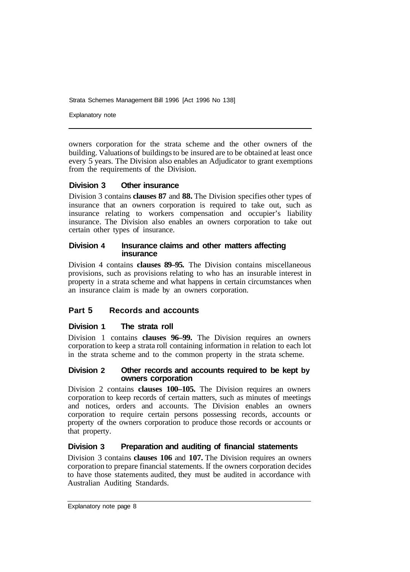Explanatory note

owners corporation for the strata scheme and the other owners of the building. Valuations of buildings to be insured are to be obtained at least once every 5 years. The Division also enables an Adjudicator to grant exemptions from the requirements of the Division.

### **Division 3 Other insurance**

Division 3 contains **clauses 87** and **88.** The Division specifies other types of insurance that an owners corporation is required to take out, such as insurance relating to workers compensation and occupier's liability insurance. The Division also enables an owners corporation to take out certain other types of insurance.

#### **Division 4 Insurance claims and other matters affecting insurance**

Division 4 contains **clauses 89–95.** The Division contains miscellaneous provisions, such as provisions relating to who has an insurable interest in property in a strata scheme and what happens in certain circumstances when an insurance claim is made by an owners corporation.

### **Part 5 Records and accounts**

### **Division 1 The strata roll**

Division 1 contains **clauses 96–99.** The Division requires an owners corporation to keep a strata roll containing information in relation to each lot in the strata scheme and to the common property in the strata scheme.

#### **Division 2 Other records and accounts required to be kept by owners corporation**

Division 2 contains **clauses 100–105.** The Division requires an owners corporation to keep records of certain matters, such as minutes of meetings and notices, orders and accounts. The Division enables an owners corporation to require certain persons possessing records, accounts or property of the owners corporation to produce those records or accounts or that property.

### **Division 3 Preparation and auditing of financial statements**

Division 3 contains **clauses 106** and **107.** The Division requires an owners corporation to prepare financial statements. If the owners corporation decides to have those statements audited, they must be audited in accordance with Australian Auditing Standards.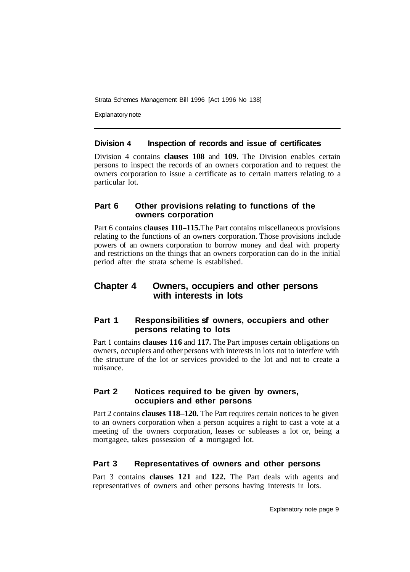Explanatory note

### **Division 4 Inspection of records and issue of certificates**

Division 4 contains **clauses 108** and **109.** The Division enables certain persons to inspect the records of an owners corporation and to request the owners corporation to issue a certificate as to certain matters relating to a particular lot.

### **Part 6 Other provisions relating to functions of the owners corporation**

Part 6 contains **clauses 110–115.** The Part contains miscellaneous provisions relating to the functions of an owners corporation. Those provisions include powers of an owners corporation to borrow money and deal with property and restrictions on the things that an owners corporation can do in the initial period after the strata scheme is established.

### **Chapter 4 Owners, occupiers and other persons with interests in lots**

### **Part 1 Responsibilities sf owners, occupiers and other persons relating to lots**

Part **1** contains **clauses 116** and **117.** The Part imposes certain obligations on owners, occupiers and other persons with interests in lots not to interfere with the structure of the lot or services provided to the lot and not to create a nuisance.

### **Part 2 Notices required to be given by owners, occupiers and ether persons**

Part 2 contains **clauses 118–120.** The Part requires certain notices to be given to an owners corporation when a person acquires a right to cast a vote at a meeting of the owners corporation, leases or subleases a lot or, being a mortgagee, takes possession of **a** mortgaged lot.

### **Part 3 Representatives of owners and other persons**

Part 3 contains **clauses 121** and **122.** The Part deals with agents and representatives of owners and other persons having interests in lots.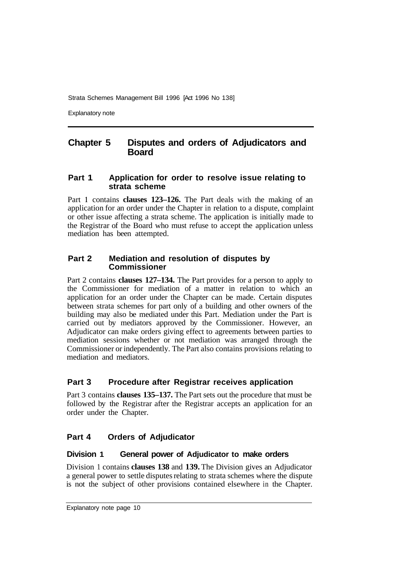Explanatory note

### **Chapter 5 Disputes and orders of Adjudicators and Board**

### **Part 1 Application for order to resolve issue relating to strata scheme**

Part **1** contains **clauses 123–126.** The Part deals with the making of an application for an order under the Chapter in relation to a dispute, complaint or other issue affecting a strata scheme. The application is initially made to the Registrar of the Board who must refuse to accept the application unless mediation has been attempted.

### **Part 2 Mediation and resolution of disputes by Commissioner**

Part 2 contains **clauses 127–134.** The Part provides for a person to apply to the Commissioner for mediation of a matter in relation to which an application for an order under the Chapter can be made. Certain disputes between strata schemes for part only of a building and other owners of the building may also be mediated under this Part. Mediation under the Part is carried out by mediators approved by the Commissioner. However, an Adjudicator can make orders giving effect to agreements between parties to mediation sessions whether or not mediation was arranged through the Commissioner or independently. The Part also contains provisions relating to mediation and mediators.

### **Part 3 Procedure after Registrar receives application**

Part 3 contains **clauses 135–137.** The Part sets out the procedure that must be followed by the Registrar after the Registrar accepts an application for an order under the Chapter.

### **Part 4 Orders of Adjudicator**

### **Division 1 General power of Adjudicator to make orders**

Division 1 contains **clauses 138** and **139.** The Division gives an Adjudicator a general power to settle disputes relating to strata schemes where the dispute is not the subject of other provisions contained elsewhere in the Chapter.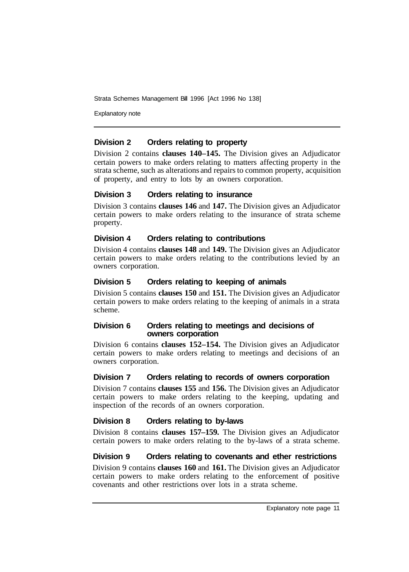Explanatory note

### **Division 2 Orders relating to property**

Division 2 contains **clauses 140–145.** The Division gives an Adjudicator certain powers to make orders relating to matters affecting property in the strata scheme, such as alterations and repairs to common property, acquisition of property, and entry to lots by an owners corporation.

### **Division 3 Orders relating to insurance**

Division 3 contains **clauses 146** and **147.** The Division gives an Adjudicator certain powers to make orders relating to the insurance of strata scheme property.

### **Division 4 Orders relating to contributions**

Division 4 contains **clauses 148** and **149.** The Division gives an Adjudicator certain powers to make orders relating to the contributions levied by an owners corporation.

### **Division 5 Orders relating to keeping of animals**

Division 5 contains **clauses 150** and **151.** The Division gives an Adjudicator certain powers to make orders relating to the keeping of animals in a strata scheme.

### **Division 6 Orders relating to meetings and decisions of owners corporation**

Division 6 contains **clauses 152–154.** The Division gives an Adjudicator certain powers to make orders relating to meetings and decisions of an owners corporation.

### **Division 7 Orders relating to records of owners corporation**

Division 7 contains **clauses 155** and **156.** The Division gives an Adjudicator certain powers to make orders relating to the keeping, updating and inspection of the records of an owners corporation.

### **Division 8 Orders relating to by-laws**

Division 8 contains **clauses 157–159.** The Division gives an Adjudicator certain powers to make orders relating to the by-laws of a strata scheme.

### **Division 9 Orders relating to covenants and ether restrictions**

Division 9 contains **clauses 160** and **161.** The Division gives an Adjudicator certain powers to make orders relating to the enforcement of positive covenants and other restrictions over lots in a strata scheme.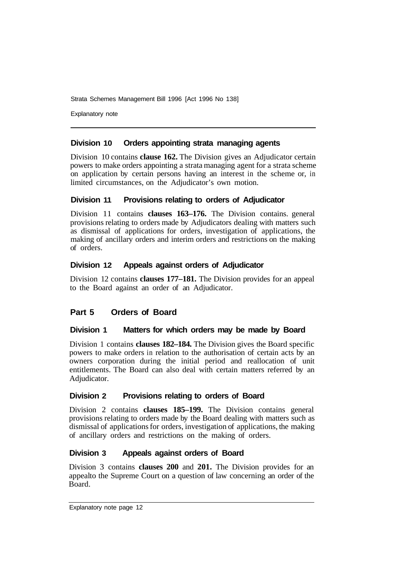Explanatory note

### **Division 10 Orders appointing strata managing agents**

Division 10 contains **clause 162.** The Division gives an Adjudicator certain powers to make orders appointing a strata managing agent for a strata scheme on application by certain persons having an interest in the scheme or, in limited circumstances, on the Adjudicator's own motion.

### **Division 11 Provisions relating to orders of Adjudicator**

Division 11 contains **clauses 163–176.** The Division contains. general provisions relating to orders made by Adjudicators dealing with matters such as dismissal of applications for orders, investigation of applications, the making of ancillary orders and interim orders and restrictions on the making of orders.

### **Division 12 Appeals against orders of Adjudicator**

Division 12 contains **clauses 177–181.** The Division provides for an appeal to the Board against an order of an Adjudicator.

### **Part 5 Orders of Board**

### **Division 1 Matters for which orders may be made by Board**

Division 1 contains **clauses 182–184.** The Division gives the Board specific powers to make orders in relation to the authorisation of certain acts by an owners corporation during the initial period and reallocation of unit entitlements. The Board can also deal with certain matters referred by an Adjudicator.

### **Division 2 Provisions relating to orders of Board**

Division 2 contains **clauses 185–199.** The Division contains general provisions relating to orders made by the Board dealing with matters such as dismissal of applications for orders, investigation of applications, the making of ancillary orders and restrictions on the making of orders.

### **Division 3 Appeals against orders of Board**

Division 3 contains **clauses 200** and **201.** The Division provides for an appeal to the Supreme Court on a question of law concerning an order of the Board.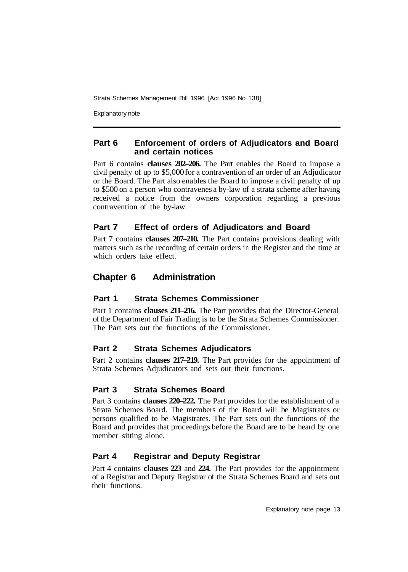Explanatory note

### **Part 6 Enforcement of orders of Adjudicators and Board and certain notices**

Part 6 contains **clauses 202–206.** The Part enables the Board to impose a civil penalty of up to \$5,000 for a contravention of an order of an Adjudicator or the Board. The Part also enables the Board to impose a civil penalty of up to \$500 on a person who contravenes a by-law of a strata scheme after having received a notice from the owners corporation regarding a previous contravention of the by-law.

### **Part 7 Effect of orders of Adjudicators and Board**

Part 7 contains **clauses 207–210.** The Part contains provisions dealing with matters such as the recording of certain orders in the Register and the time at which orders take effect.

## **Chapter 6 Administration**

### **Part 1 Strata Schemes Commissioner**

Part **1** contains **clauses 211–216.** The Part provides that the Director-General of the Department of Fair Trading is to be the Strata Schemes Commissioner. The Part sets out the functions of the Commissioner.

### **Part 2 Strata Schemes Adjudicators**

Part 2 contains **clauses 217–219.** The Part provides for the appointment of Strata Schemes Adjudicators and sets out their functions.

### **Part 3 Strata Schemes Board**

Part 3 contains **clauses 220–222.** The Part provides for the establishment of a Strata Schemes Board. The members of the Board will be Magistrates or persons qualified to be Magistrates. The Part sets out the functions of the Board and provides that proceedings before the Board are to be heard by one member sitting alone.

### **Part 4 Registrar and Deputy Registrar**

Part 4 contains **clauses 223** and **224.** The Part provides for the appointment of a Registrar and Deputy Registrar of the Strata Schemes Board and sets out their functions.